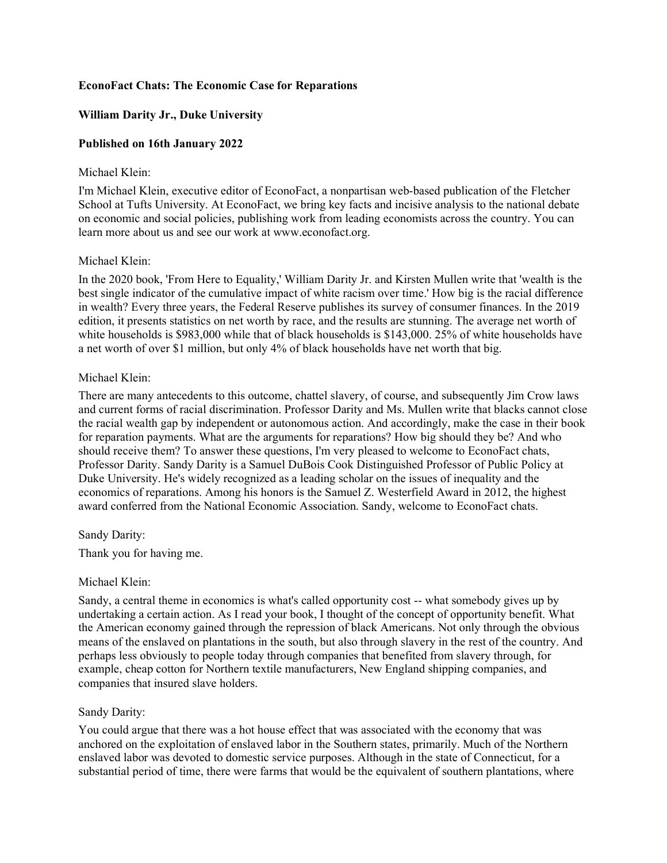# **EconoFact Chats: The Economic Case for Reparations**

# **William Darity Jr., Duke University**

## **Published on 16th January 2022**

#### Michael Klein:

I'm Michael Klein, executive editor of EconoFact, a nonpartisan web-based publication of the Fletcher School at Tufts University. At EconoFact, we bring key facts and incisive analysis to the national debate on economic and social policies, publishing work from leading economists across the country. You can learn more about us and see our work at www.econofact.org.

#### Michael Klein:

In the 2020 book, 'From Here to Equality,' William Darity Jr. and Kirsten Mullen write that 'wealth is the best single indicator of the cumulative impact of white racism over time.' How big is the racial difference in wealth? Every three years, the Federal Reserve publishes its survey of consumer finances. In the 2019 edition, it presents statistics on net worth by race, and the results are stunning. The average net worth of white households is \$983,000 while that of black households is \$143,000. 25% of white households have a net worth of over \$1 million, but only 4% of black households have net worth that big.

#### Michael Klein:

There are many antecedents to this outcome, chattel slavery, of course, and subsequently Jim Crow laws and current forms of racial discrimination. Professor Darity and Ms. Mullen write that blacks cannot close the racial wealth gap by independent or autonomous action. And accordingly, make the case in their book for reparation payments. What are the arguments for reparations? How big should they be? And who should receive them? To answer these questions, I'm very pleased to welcome to EconoFact chats, Professor Darity. Sandy Darity is a Samuel DuBois Cook Distinguished Professor of Public Policy at Duke University. He's widely recognized as a leading scholar on the issues of inequality and the economics of reparations. Among his honors is the Samuel Z. Westerfield Award in 2012, the highest award conferred from the National Economic Association. Sandy, welcome to EconoFact chats.

#### Sandy Darity:

Thank you for having me.

#### Michael Klein:

Sandy, a central theme in economics is what's called opportunity cost -- what somebody gives up by undertaking a certain action. As I read your book, I thought of the concept of opportunity benefit. What the American economy gained through the repression of black Americans. Not only through the obvious means of the enslaved on plantations in the south, but also through slavery in the rest of the country. And perhaps less obviously to people today through companies that benefited from slavery through, for example, cheap cotton for Northern textile manufacturers, New England shipping companies, and companies that insured slave holders.

#### Sandy Darity:

You could argue that there was a hot house effect that was associated with the economy that was anchored on the exploitation of enslaved labor in the Southern states, primarily. Much of the Northern enslaved labor was devoted to domestic service purposes. Although in the state of Connecticut, for a substantial period of time, there were farms that would be the equivalent of southern plantations, where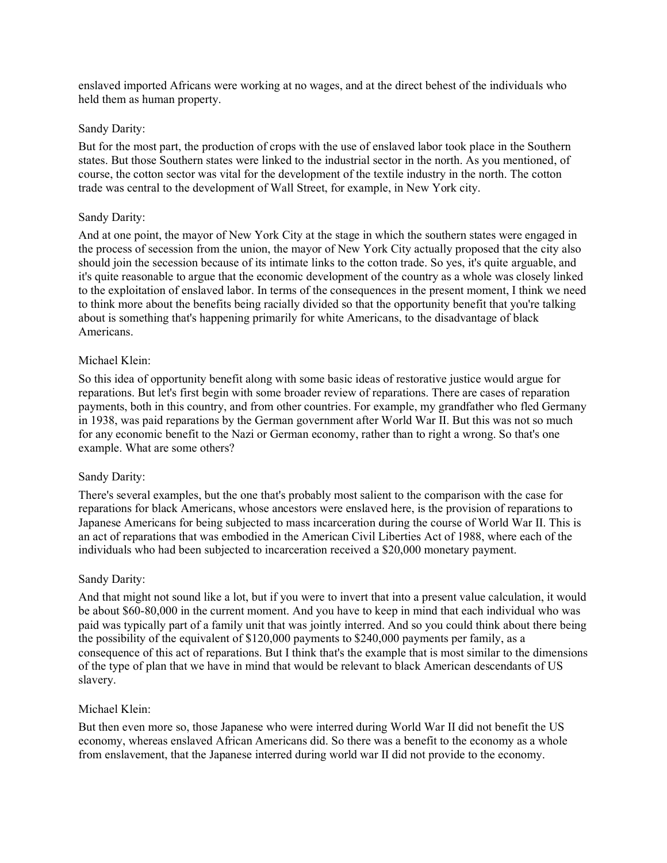enslaved imported Africans were working at no wages, and at the direct behest of the individuals who held them as human property.

### Sandy Darity:

But for the most part, the production of crops with the use of enslaved labor took place in the Southern states. But those Southern states were linked to the industrial sector in the north. As you mentioned, of course, the cotton sector was vital for the development of the textile industry in the north. The cotton trade was central to the development of Wall Street, for example, in New York city.

### Sandy Darity:

And at one point, the mayor of New York City at the stage in which the southern states were engaged in the process of secession from the union, the mayor of New York City actually proposed that the city also should join the secession because of its intimate links to the cotton trade. So yes, it's quite arguable, and it's quite reasonable to argue that the economic development of the country as a whole was closely linked to the exploitation of enslaved labor. In terms of the consequences in the present moment, I think we need to think more about the benefits being racially divided so that the opportunity benefit that you're talking about is something that's happening primarily for white Americans, to the disadvantage of black Americans.

### Michael Klein:

So this idea of opportunity benefit along with some basic ideas of restorative justice would argue for reparations. But let's first begin with some broader review of reparations. There are cases of reparation payments, both in this country, and from other countries. For example, my grandfather who fled Germany in 1938, was paid reparations by the German government after World War II. But this was not so much for any economic benefit to the Nazi or German economy, rather than to right a wrong. So that's one example. What are some others?

# Sandy Darity:

There's several examples, but the one that's probably most salient to the comparison with the case for reparations for black Americans, whose ancestors were enslaved here, is the provision of reparations to Japanese Americans for being subjected to mass incarceration during the course of World War II. This is an act of reparations that was embodied in the American Civil Liberties Act of 1988, where each of the individuals who had been subjected to incarceration received a \$20,000 monetary payment.

# Sandy Darity:

And that might not sound like a lot, but if you were to invert that into a present value calculation, it would be about \$60-80,000 in the current moment. And you have to keep in mind that each individual who was paid was typically part of a family unit that was jointly interred. And so you could think about there being the possibility of the equivalent of \$120,000 payments to \$240,000 payments per family, as a consequence of this act of reparations. But I think that's the example that is most similar to the dimensions of the type of plan that we have in mind that would be relevant to black American descendants of US slavery.

#### Michael Klein:

But then even more so, those Japanese who were interred during World War II did not benefit the US economy, whereas enslaved African Americans did. So there was a benefit to the economy as a whole from enslavement, that the Japanese interred during world war II did not provide to the economy.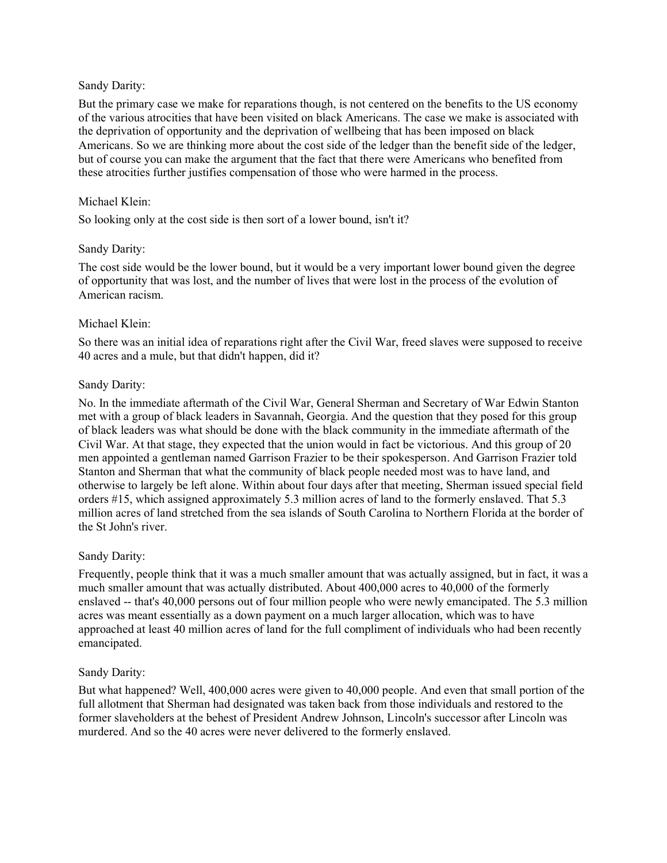## Sandy Darity:

But the primary case we make for reparations though, is not centered on the benefits to the US economy of the various atrocities that have been visited on black Americans. The case we make is associated with the deprivation of opportunity and the deprivation of wellbeing that has been imposed on black Americans. So we are thinking more about the cost side of the ledger than the benefit side of the ledger, but of course you can make the argument that the fact that there were Americans who benefited from these atrocities further justifies compensation of those who were harmed in the process.

## Michael Klein:

So looking only at the cost side is then sort of a lower bound, isn't it?

### Sandy Darity:

The cost side would be the lower bound, but it would be a very important lower bound given the degree of opportunity that was lost, and the number of lives that were lost in the process of the evolution of American racism.

### Michael Klein:

So there was an initial idea of reparations right after the Civil War, freed slaves were supposed to receive 40 acres and a mule, but that didn't happen, did it?

### Sandy Darity:

No. In the immediate aftermath of the Civil War, General Sherman and Secretary of War Edwin Stanton met with a group of black leaders in Savannah, Georgia. And the question that they posed for this group of black leaders was what should be done with the black community in the immediate aftermath of the Civil War. At that stage, they expected that the union would in fact be victorious. And this group of 20 men appointed a gentleman named Garrison Frazier to be their spokesperson. And Garrison Frazier told Stanton and Sherman that what the community of black people needed most was to have land, and otherwise to largely be left alone. Within about four days after that meeting, Sherman issued special field orders #15, which assigned approximately 5.3 million acres of land to the formerly enslaved. That 5.3 million acres of land stretched from the sea islands of South Carolina to Northern Florida at the border of the St John's river.

#### Sandy Darity:

Frequently, people think that it was a much smaller amount that was actually assigned, but in fact, it was a much smaller amount that was actually distributed. About 400,000 acres to 40,000 of the formerly enslaved -- that's 40,000 persons out of four million people who were newly emancipated. The 5.3 million acres was meant essentially as a down payment on a much larger allocation, which was to have approached at least 40 million acres of land for the full compliment of individuals who had been recently emancipated.

# Sandy Darity:

But what happened? Well, 400,000 acres were given to 40,000 people. And even that small portion of the full allotment that Sherman had designated was taken back from those individuals and restored to the former slaveholders at the behest of President Andrew Johnson, Lincoln's successor after Lincoln was murdered. And so the 40 acres were never delivered to the formerly enslaved.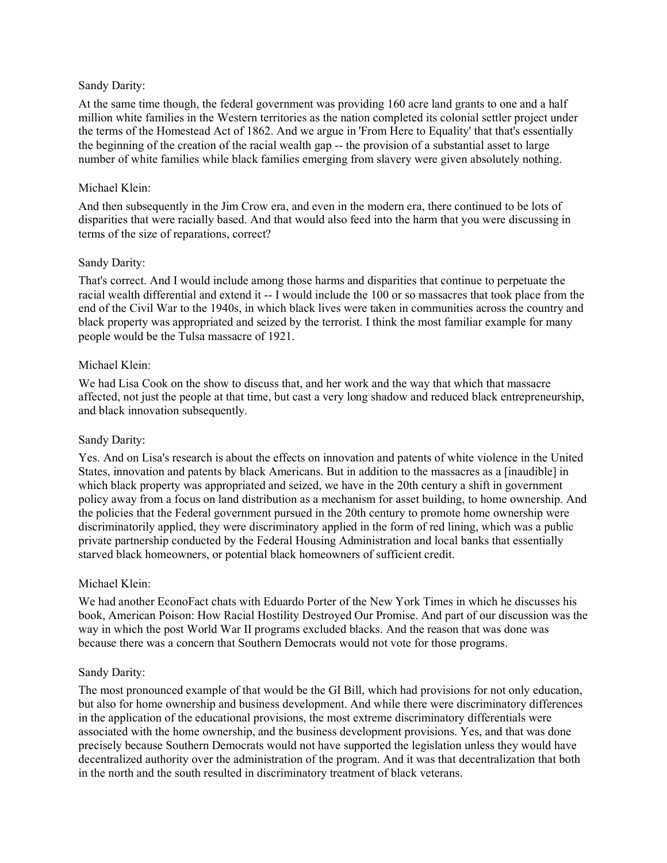### Sandy Darity:

At the same time though, the federal government was providing 160 acre land grants to one and a half million white families in the Western territories as the nation completed its colonial settler project under the terms of the Homestead Act of 1862. And we argue in 'From Here to Equality' that that's essentially the beginning of the creation of the racial wealth gap -- the provision of a substantial asset to large number of white families while black families emerging from slavery were given absolutely nothing.

# Michael Klein:

And then subsequently in the Jim Crow era, and even in the modern era, there continued to be lots of disparities that were racially based. And that would also feed into the harm that you were discussing in terms of the size of reparations, correct?

### Sandy Darity:

That's correct. And I would include among those harms and disparities that continue to perpetuate the racial wealth differential and extend it -- I would include the 100 or so massacres that took place from the end of the Civil War to the 1940s, in which black lives were taken in communities across the country and black property was appropriated and seized by the terrorist. I think the most familiar example for many people would be the Tulsa massacre of 1921.

### Michael Klein:

We had Lisa Cook on the show to discuss that, and her work and the way that which that massacre affected, not just the people at that time, but cast a very long shadow and reduced black entrepreneurship, and black innovation subsequently.

# Sandy Darity:

Yes. And on Lisa's research is about the effects on innovation and patents of white violence in the United States, innovation and patents by black Americans. But in addition to the massacres as a [inaudible] in which black property was appropriated and seized, we have in the 20th century a shift in government policy away from a focus on land distribution as a mechanism for asset building, to home ownership. And the policies that the Federal government pursued in the 20th century to promote home ownership were discriminatorily applied, they were discriminatory applied in the form of red lining, which was a public private partnership conducted by the Federal Housing Administration and local banks that essentially starved black homeowners, or potential black homeowners of sufficient credit.

# Michael Klein:

We had another EconoFact chats with Eduardo Porter of the New York Times in which he discusses his book, American Poison: How Racial Hostility Destroyed Our Promise. And part of our discussion was the way in which the post World War II programs excluded blacks. And the reason that was done was because there was a concern that Southern Democrats would not vote for those programs.

# Sandy Darity:

The most pronounced example of that would be the GI Bill, which had provisions for not only education, but also for home ownership and business development. And while there were discriminatory differences in the application of the educational provisions, the most extreme discriminatory differentials were associated with the home ownership, and the business development provisions. Yes, and that was done precisely because Southern Democrats would not have supported the legislation unless they would have decentralized authority over the administration of the program. And it was that decentralization that both in the north and the south resulted in discriminatory treatment of black veterans.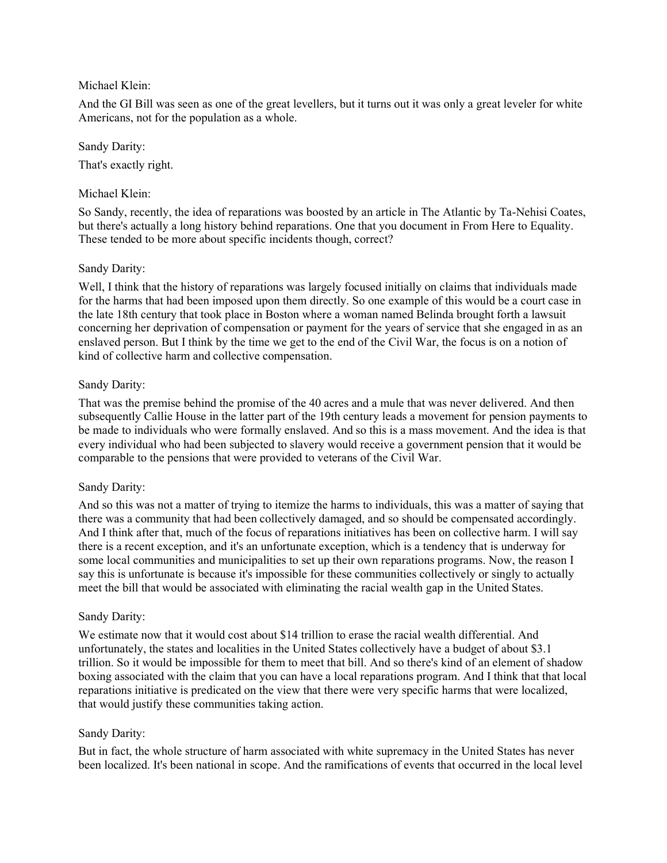# Michael Klein:

And the GI Bill was seen as one of the great levellers, but it turns out it was only a great leveler for white Americans, not for the population as a whole.

Sandy Darity: That's exactly right.

## Michael Klein:

So Sandy, recently, the idea of reparations was boosted by an article in The Atlantic by Ta-Nehisi Coates, but there's actually a long history behind reparations. One that you document in From Here to Equality. These tended to be more about specific incidents though, correct?

### Sandy Darity:

Well, I think that the history of reparations was largely focused initially on claims that individuals made for the harms that had been imposed upon them directly. So one example of this would be a court case in the late 18th century that took place in Boston where a woman named Belinda brought forth a lawsuit concerning her deprivation of compensation or payment for the years of service that she engaged in as an enslaved person. But I think by the time we get to the end of the Civil War, the focus is on a notion of kind of collective harm and collective compensation.

### Sandy Darity:

That was the premise behind the promise of the 40 acres and a mule that was never delivered. And then subsequently Callie House in the latter part of the 19th century leads a movement for pension payments to be made to individuals who were formally enslaved. And so this is a mass movement. And the idea is that every individual who had been subjected to slavery would receive a government pension that it would be comparable to the pensions that were provided to veterans of the Civil War.

#### Sandy Darity:

And so this was not a matter of trying to itemize the harms to individuals, this was a matter of saying that there was a community that had been collectively damaged, and so should be compensated accordingly. And I think after that, much of the focus of reparations initiatives has been on collective harm. I will say there is a recent exception, and it's an unfortunate exception, which is a tendency that is underway for some local communities and municipalities to set up their own reparations programs. Now, the reason I say this is unfortunate is because it's impossible for these communities collectively or singly to actually meet the bill that would be associated with eliminating the racial wealth gap in the United States.

# Sandy Darity:

We estimate now that it would cost about \$14 trillion to erase the racial wealth differential. And unfortunately, the states and localities in the United States collectively have a budget of about \$3.1 trillion. So it would be impossible for them to meet that bill. And so there's kind of an element of shadow boxing associated with the claim that you can have a local reparations program. And I think that that local reparations initiative is predicated on the view that there were very specific harms that were localized, that would justify these communities taking action.

#### Sandy Darity:

But in fact, the whole structure of harm associated with white supremacy in the United States has never been localized. It's been national in scope. And the ramifications of events that occurred in the local level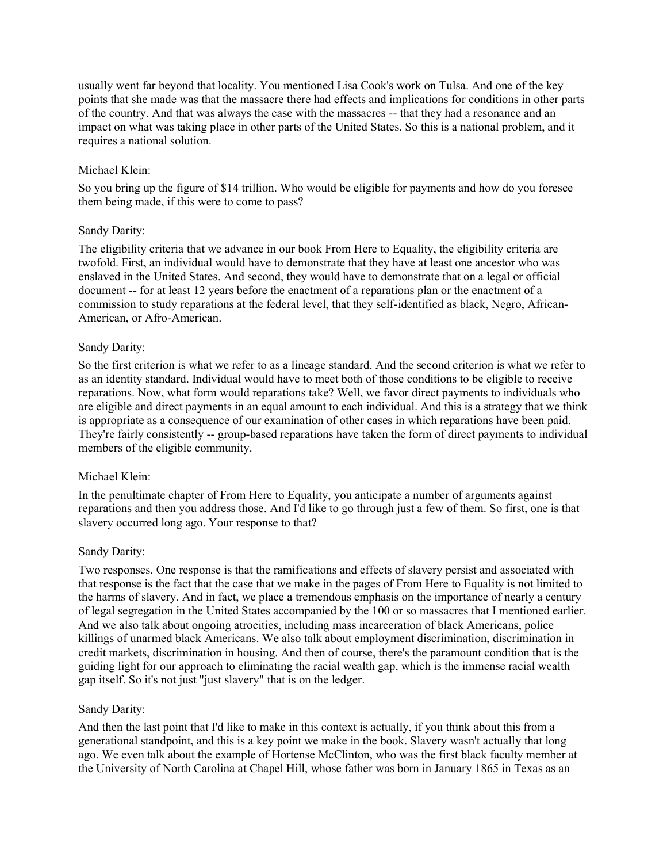usually went far beyond that locality. You mentioned Lisa Cook's work on Tulsa. And one of the key points that she made was that the massacre there had effects and implications for conditions in other parts of the country. And that was always the case with the massacres -- that they had a resonance and an impact on what was taking place in other parts of the United States. So this is a national problem, and it requires a national solution.

## Michael Klein:

So you bring up the figure of \$14 trillion. Who would be eligible for payments and how do you foresee them being made, if this were to come to pass?

### Sandy Darity:

The eligibility criteria that we advance in our book From Here to Equality, the eligibility criteria are twofold. First, an individual would have to demonstrate that they have at least one ancestor who was enslaved in the United States. And second, they would have to demonstrate that on a legal or official document -- for at least 12 years before the enactment of a reparations plan or the enactment of a commission to study reparations at the federal level, that they self-identified as black, Negro, African-American, or Afro-American.

### Sandy Darity:

So the first criterion is what we refer to as a lineage standard. And the second criterion is what we refer to as an identity standard. Individual would have to meet both of those conditions to be eligible to receive reparations. Now, what form would reparations take? Well, we favor direct payments to individuals who are eligible and direct payments in an equal amount to each individual. And this is a strategy that we think is appropriate as a consequence of our examination of other cases in which reparations have been paid. They're fairly consistently -- group-based reparations have taken the form of direct payments to individual members of the eligible community.

#### Michael Klein:

In the penultimate chapter of From Here to Equality, you anticipate a number of arguments against reparations and then you address those. And I'd like to go through just a few of them. So first, one is that slavery occurred long ago. Your response to that?

#### Sandy Darity:

Two responses. One response is that the ramifications and effects of slavery persist and associated with that response is the fact that the case that we make in the pages of From Here to Equality is not limited to the harms of slavery. And in fact, we place a tremendous emphasis on the importance of nearly a century of legal segregation in the United States accompanied by the 100 or so massacres that I mentioned earlier. And we also talk about ongoing atrocities, including mass incarceration of black Americans, police killings of unarmed black Americans. We also talk about employment discrimination, discrimination in credit markets, discrimination in housing. And then of course, there's the paramount condition that is the guiding light for our approach to eliminating the racial wealth gap, which is the immense racial wealth gap itself. So it's not just "just slavery" that is on the ledger.

#### Sandy Darity:

And then the last point that I'd like to make in this context is actually, if you think about this from a generational standpoint, and this is a key point we make in the book. Slavery wasn't actually that long ago. We even talk about the example of Hortense McClinton, who was the first black faculty member at the University of North Carolina at Chapel Hill, whose father was born in January 1865 in Texas as an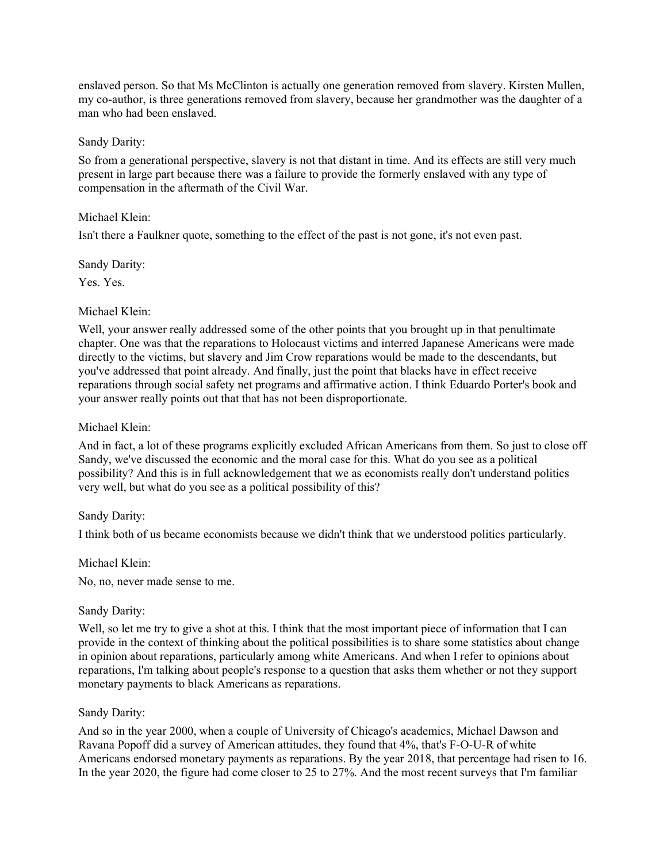enslaved person. So that Ms McClinton is actually one generation removed from slavery. Kirsten Mullen, my co-author, is three generations removed from slavery, because her grandmother was the daughter of a man who had been enslaved.

## Sandy Darity:

So from a generational perspective, slavery is not that distant in time. And its effects are still very much present in large part because there was a failure to provide the formerly enslaved with any type of compensation in the aftermath of the Civil War.

# Michael Klein:

Isn't there a Faulkner quote, something to the effect of the past is not gone, it's not even past.

### Sandy Darity:

Yes. Yes.

# Michael Klein:

Well, your answer really addressed some of the other points that you brought up in that penultimate chapter. One was that the reparations to Holocaust victims and interred Japanese Americans were made directly to the victims, but slavery and Jim Crow reparations would be made to the descendants, but you've addressed that point already. And finally, just the point that blacks have in effect receive reparations through social safety net programs and affirmative action. I think Eduardo Porter's book and your answer really points out that that has not been disproportionate.

# Michael Klein:

And in fact, a lot of these programs explicitly excluded African Americans from them. So just to close off Sandy, we've discussed the economic and the moral case for this. What do you see as a political possibility? And this is in full acknowledgement that we as economists really don't understand politics very well, but what do you see as a political possibility of this?

# Sandy Darity:

I think both of us became economists because we didn't think that we understood politics particularly.

# Michael Klein:

No, no, never made sense to me.

# Sandy Darity:

Well, so let me try to give a shot at this. I think that the most important piece of information that I can provide in the context of thinking about the political possibilities is to share some statistics about change in opinion about reparations, particularly among white Americans. And when I refer to opinions about reparations, I'm talking about people's response to a question that asks them whether or not they support monetary payments to black Americans as reparations.

# Sandy Darity:

And so in the year 2000, when a couple of University of Chicago's academics, Michael Dawson and Ravana Popoff did a survey of American attitudes, they found that 4%, that's F-O-U-R of white Americans endorsed monetary payments as reparations. By the year 2018, that percentage had risen to 16. In the year 2020, the figure had come closer to 25 to 27%. And the most recent surveys that I'm familiar